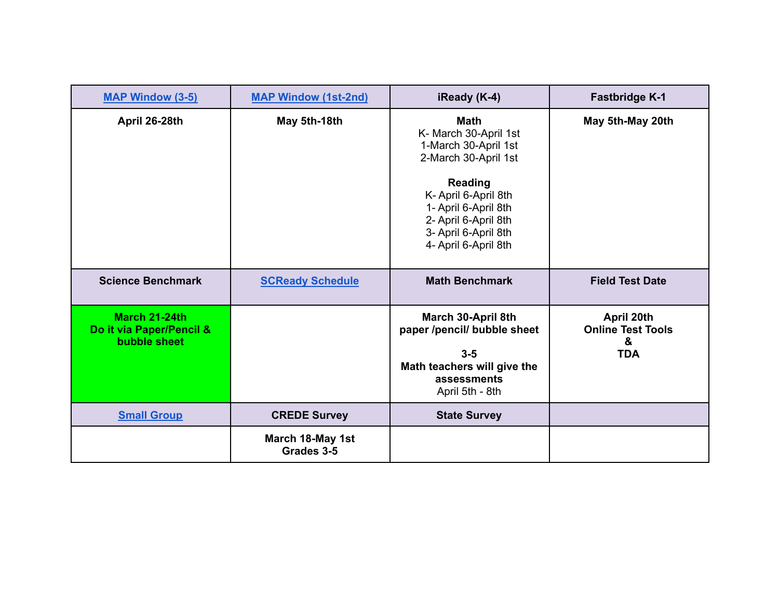| <b>MAP Window (3-5)</b>                                   | <b>MAP Window (1st-2nd)</b>    | iReady (K-4)                                                                                                                                                                                                                   | <b>Fastbridge K-1</b>                                     |
|-----------------------------------------------------------|--------------------------------|--------------------------------------------------------------------------------------------------------------------------------------------------------------------------------------------------------------------------------|-----------------------------------------------------------|
| April 26-28th                                             | May 5th-18th                   | <b>Math</b><br>K- March 30-April 1st<br>1-March 30-April 1st<br>2-March 30-April 1st<br><b>Reading</b><br>K- April 6-April 8th<br>1- April 6-April 8th<br>2- April 6-April 8th<br>3- April 6-April 8th<br>4- April 6-April 8th | May 5th-May 20th                                          |
| <b>Science Benchmark</b>                                  | <b>SCReady Schedule</b>        | <b>Math Benchmark</b>                                                                                                                                                                                                          | <b>Field Test Date</b>                                    |
| March 21-24th<br>Do it via Paper/Pencil &<br>bubble sheet |                                | March 30-April 8th<br>paper /pencil/ bubble sheet<br>$3-5$<br>Math teachers will give the<br>assessments<br>April 5th - 8th                                                                                                    | April 20th<br><b>Online Test Tools</b><br>&<br><b>TDA</b> |
| <b>Small Group</b>                                        | <b>CREDE Survey</b>            | <b>State Survey</b>                                                                                                                                                                                                            |                                                           |
|                                                           | March 18-May 1st<br>Grades 3-5 |                                                                                                                                                                                                                                |                                                           |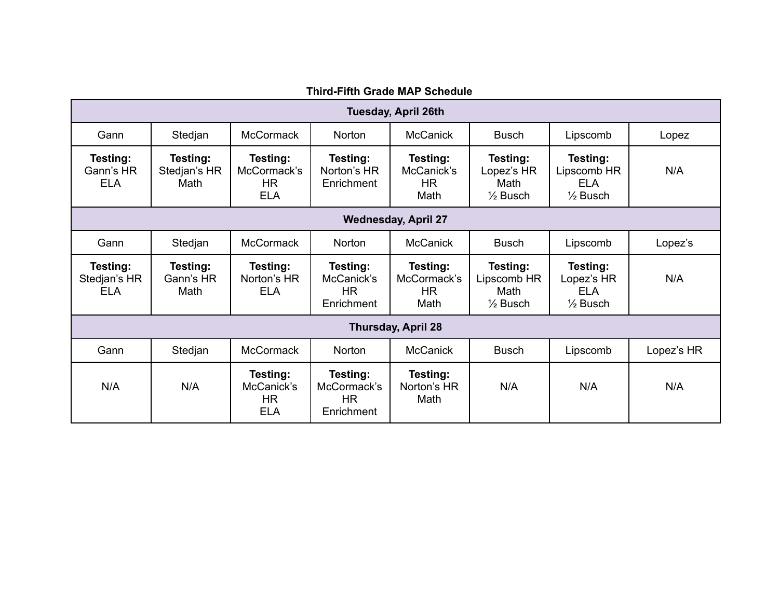<span id="page-1-0"></span>

| <b>Third-Fifth Grade MAP Schedule</b>      |                                                                                               |                                                    |                                              |                                             |                                                        |                                                              |            |
|--------------------------------------------|-----------------------------------------------------------------------------------------------|----------------------------------------------------|----------------------------------------------|---------------------------------------------|--------------------------------------------------------|--------------------------------------------------------------|------------|
| <b>Tuesday, April 26th</b>                 |                                                                                               |                                                    |                                              |                                             |                                                        |                                                              |            |
| Gann                                       | <b>McCormack</b><br><b>McCanick</b><br>Norton<br>Stedjan<br><b>Busch</b><br>Lipscomb<br>Lopez |                                                    |                                              |                                             |                                                        |                                                              |            |
| <b>Testing:</b><br>Gann's HR<br><b>ELA</b> | Testing:<br>Stedjan's HR<br>Math                                                              | Testing:<br>McCormack's<br><b>HR</b><br><b>ELA</b> | Testing:<br>Norton's HR<br>Enrichment        | Testing:<br>McCanick's<br><b>HR</b><br>Math | Testing:<br>Lopez's HR<br>Math<br>$\frac{1}{2}$ Busch  | Testing:<br>Lipscomb HR<br><b>ELA</b><br>$\frac{1}{2}$ Busch | N/A        |
|                                            | <b>Wednesday, April 27</b>                                                                    |                                                    |                                              |                                             |                                                        |                                                              |            |
| Gann                                       | Stedjan                                                                                       | <b>McCormack</b>                                   | <b>Norton</b>                                | <b>McCanick</b>                             | <b>Busch</b>                                           | Lipscomb                                                     | Lopez's    |
| Testing:<br>Stedjan's HR<br><b>ELA</b>     | Testing:<br>Gann's HR<br>Math                                                                 | Testing:<br>Norton's HR<br><b>ELA</b>              | Testing:<br>McCanick's<br>HR.<br>Enrichment  | Testing:<br>McCormack's<br>HR<br>Math       | Testing:<br>Lipscomb HR<br>Math<br>$\frac{1}{2}$ Busch | Testing:<br>Lopez's HR<br><b>ELA</b><br>$\frac{1}{2}$ Busch  | N/A        |
| <b>Thursday, April 28</b>                  |                                                                                               |                                                    |                                              |                                             |                                                        |                                                              |            |
| Gann                                       | Stedjan                                                                                       | <b>McCormack</b>                                   | <b>Norton</b>                                | <b>McCanick</b>                             | <b>Busch</b>                                           | Lipscomb                                                     | Lopez's HR |
| N/A                                        | N/A                                                                                           | Testing:<br>McCanick's<br><b>HR</b><br><b>ELA</b>  | Testing:<br>McCormack's<br>HR.<br>Enrichment | Testing:<br>Norton's HR<br>Math             | N/A                                                    | N/A                                                          | N/A        |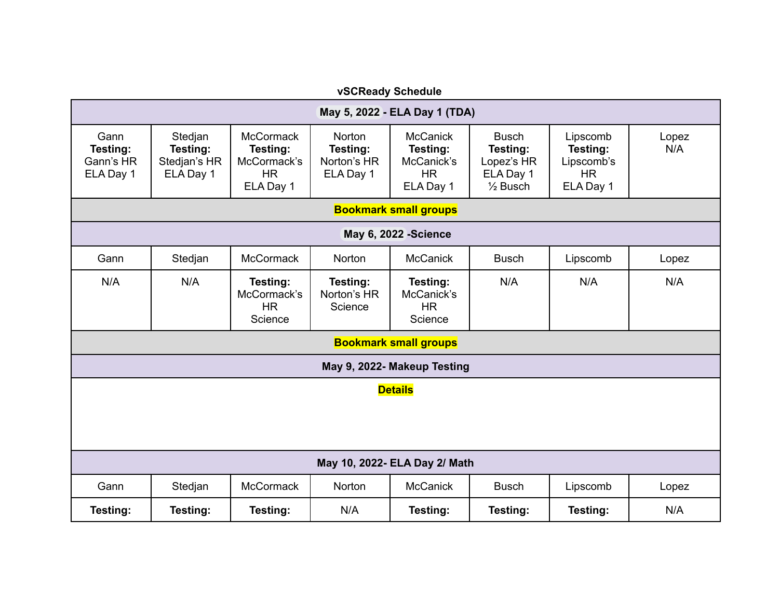<span id="page-2-0"></span>

| vSCReady Schedule                          |                                                  |                                                                       |                                                |                                                                     |                                                                            |                                                              |              |
|--------------------------------------------|--------------------------------------------------|-----------------------------------------------------------------------|------------------------------------------------|---------------------------------------------------------------------|----------------------------------------------------------------------------|--------------------------------------------------------------|--------------|
| May 5, 2022 - ELA Day 1 (TDA)              |                                                  |                                                                       |                                                |                                                                     |                                                                            |                                                              |              |
| Gann<br>Testing:<br>Gann's HR<br>ELA Day 1 | Stedjan<br>Testing:<br>Stedjan's HR<br>ELA Day 1 | <b>McCormack</b><br>Testing:<br>McCormack's<br><b>HR</b><br>ELA Day 1 | Norton<br>Testing:<br>Norton's HR<br>ELA Day 1 | <b>McCanick</b><br>Testing:<br>McCanick's<br><b>HR</b><br>ELA Day 1 | <b>Busch</b><br>Testing:<br>Lopez's HR<br>ELA Day 1<br>$\frac{1}{2}$ Busch | Lipscomb<br>Testing:<br>Lipscomb's<br><b>HR</b><br>ELA Day 1 | Lopez<br>N/A |
|                                            |                                                  |                                                                       |                                                | <b>Bookmark small groups</b>                                        |                                                                            |                                                              |              |
|                                            |                                                  |                                                                       |                                                | <b>May 6, 2022 -Science</b>                                         |                                                                            |                                                              |              |
| Gann                                       | Stedjan                                          | <b>McCormack</b>                                                      | Norton                                         | <b>McCanick</b>                                                     | <b>Busch</b>                                                               | Lipscomb                                                     | Lopez        |
| N/A                                        | N/A                                              | Testing:<br>McCormack's<br><b>HR</b><br>Science                       | Testing:<br>Norton's HR<br>Science             | Testing:<br>McCanick's<br><b>HR</b><br>Science                      | N/A                                                                        | N/A                                                          | N/A          |
|                                            |                                                  |                                                                       |                                                | <b>Bookmark small groups</b>                                        |                                                                            |                                                              |              |
| May 9, 2022- Makeup Testing                |                                                  |                                                                       |                                                |                                                                     |                                                                            |                                                              |              |
| <b>Details</b>                             |                                                  |                                                                       |                                                |                                                                     |                                                                            |                                                              |              |
| May 10, 2022- ELA Day 2/ Math              |                                                  |                                                                       |                                                |                                                                     |                                                                            |                                                              |              |
| Gann                                       | Stedjan                                          | McCormack                                                             | Norton                                         | <b>McCanick</b>                                                     | <b>Busch</b>                                                               | Lipscomb                                                     | Lopez        |
| Testing:                                   | Testing:                                         | Testing:                                                              | N/A                                            | Testing:                                                            | Testing:                                                                   | Testing:                                                     | N/A          |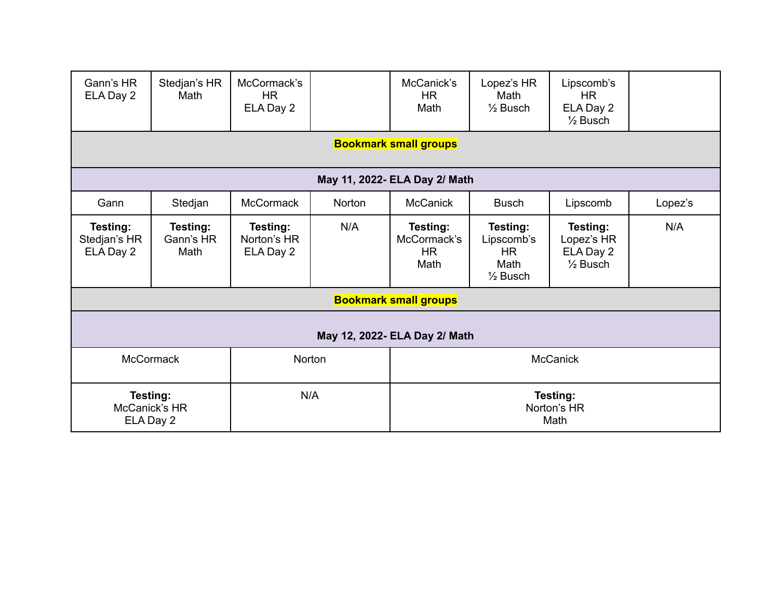| Gann's HR<br>ELA Day 2                                                           | Stedjan's HR<br>Math          | McCormack's<br><b>HR</b>             |        | McCanick's<br><b>HR</b>                      | Lopez's HR<br>Math                                                 | Lipscomb's<br>HR.                                          |         |
|----------------------------------------------------------------------------------|-------------------------------|--------------------------------------|--------|----------------------------------------------|--------------------------------------------------------------------|------------------------------------------------------------|---------|
|                                                                                  |                               | ELA Day 2                            |        | Math                                         | $\frac{1}{2}$ Busch                                                | ELA Day 2<br>$\frac{1}{2}$ Busch                           |         |
|                                                                                  |                               |                                      |        | <b>Bookmark small groups</b>                 |                                                                    |                                                            |         |
|                                                                                  |                               |                                      |        | May 11, 2022- ELA Day 2/ Math                |                                                                    |                                                            |         |
| Gann                                                                             | Stedjan                       | <b>McCormack</b>                     | Norton | <b>McCanick</b>                              | <b>Busch</b>                                                       | Lipscomb                                                   | Lopez's |
| Testing:<br>Stedjan's HR<br>ELA Day 2                                            | Testing:<br>Gann's HR<br>Math | Testing:<br>Norton's HR<br>ELA Day 2 | N/A    | Testing:<br>McCormack's<br><b>HR</b><br>Math | Testing:<br>Lipscomb's<br><b>HR</b><br>Math<br>$\frac{1}{2}$ Busch | Testing:<br>Lopez's HR<br>ELA Day 2<br>$\frac{1}{2}$ Busch | N/A     |
|                                                                                  |                               |                                      |        | <b>Bookmark small groups</b>                 |                                                                    |                                                            |         |
| May 12, 2022- ELA Day 2/ Math                                                    |                               |                                      |        |                                              |                                                                    |                                                            |         |
|                                                                                  | <b>McCormack</b>              | Norton                               |        | <b>McCanick</b>                              |                                                                    |                                                            |         |
| N/A<br>Testing:<br>Testing:<br>McCanick's HR<br>Norton's HR<br>ELA Day 2<br>Math |                               |                                      |        |                                              |                                                                    |                                                            |         |